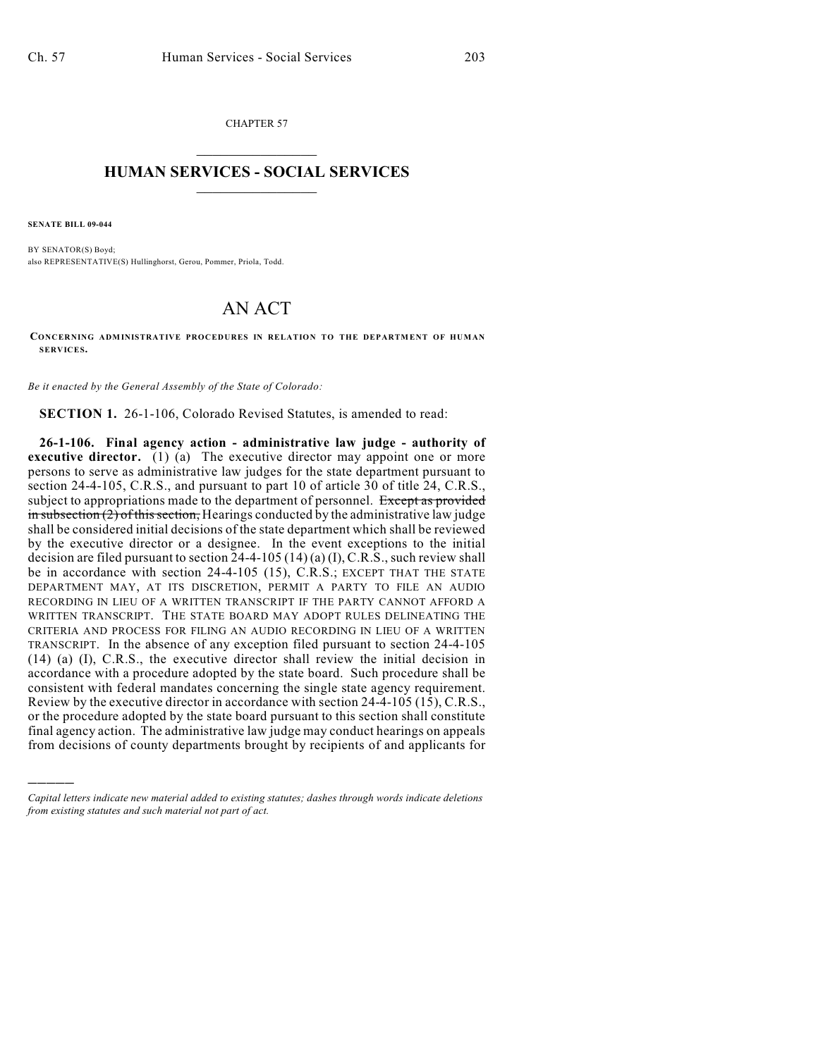CHAPTER 57  $\mathcal{L}_\text{max}$  . The set of the set of the set of the set of the set of the set of the set of the set of the set of the set of the set of the set of the set of the set of the set of the set of the set of the set of the set

## **HUMAN SERVICES - SOCIAL SERVICES**  $\frac{1}{2}$  ,  $\frac{1}{2}$  ,  $\frac{1}{2}$  ,  $\frac{1}{2}$  ,  $\frac{1}{2}$  ,  $\frac{1}{2}$  ,  $\frac{1}{2}$

**SENATE BILL 09-044**

)))))

BY SENATOR(S) Boyd; also REPRESENTATIVE(S) Hullinghorst, Gerou, Pommer, Priola, Todd.

## AN ACT

**CONCERNING ADMINISTRATIVE PROCEDURES IN RELATION TO THE DEPARTMENT OF HUMAN SERVICES.**

*Be it enacted by the General Assembly of the State of Colorado:*

**SECTION 1.** 26-1-106, Colorado Revised Statutes, is amended to read:

**26-1-106. Final agency action - administrative law judge - authority of executive director.** (1) (a) The executive director may appoint one or more persons to serve as administrative law judges for the state department pursuant to section 24-4-105, C.R.S., and pursuant to part 10 of article 30 of title 24, C.R.S., subject to appropriations made to the department of personnel. Except as provided  $\frac{1}{2}$  in subsection (2) of this section, Hearings conducted by the administrative law judge shall be considered initial decisions of the state department which shall be reviewed by the executive director or a designee. In the event exceptions to the initial decision are filed pursuant to section  $24-4-105(14)(a)(I)$ , C.R.S., such review shall be in accordance with section 24-4-105 (15), C.R.S.; EXCEPT THAT THE STATE DEPARTMENT MAY, AT ITS DISCRETION, PERMIT A PARTY TO FILE AN AUDIO RECORDING IN LIEU OF A WRITTEN TRANSCRIPT IF THE PARTY CANNOT AFFORD A WRITTEN TRANSCRIPT. THE STATE BOARD MAY ADOPT RULES DELINEATING THE CRITERIA AND PROCESS FOR FILING AN AUDIO RECORDING IN LIEU OF A WRITTEN TRANSCRIPT. In the absence of any exception filed pursuant to section 24-4-105 (14) (a) (I), C.R.S., the executive director shall review the initial decision in accordance with a procedure adopted by the state board. Such procedure shall be consistent with federal mandates concerning the single state agency requirement. Review by the executive director in accordance with section 24-4-105 (15), C.R.S., or the procedure adopted by the state board pursuant to this section shall constitute final agency action. The administrative law judge may conduct hearings on appeals from decisions of county departments brought by recipients of and applicants for

*Capital letters indicate new material added to existing statutes; dashes through words indicate deletions from existing statutes and such material not part of act.*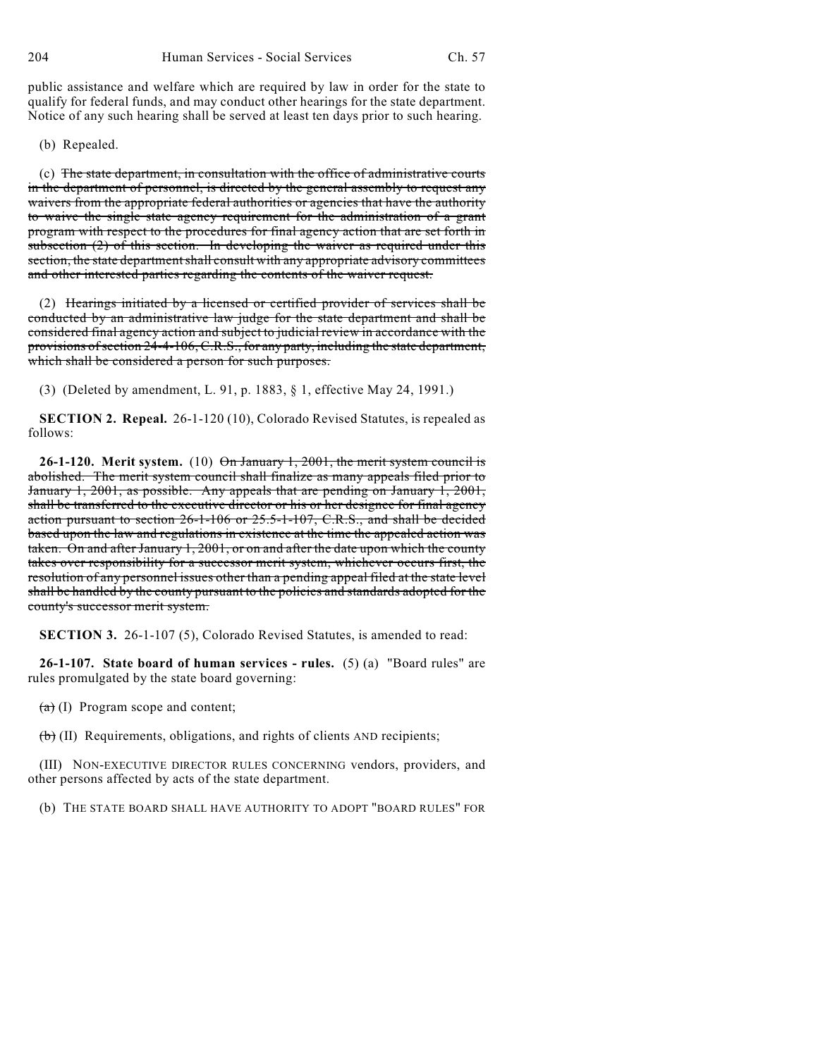public assistance and welfare which are required by law in order for the state to qualify for federal funds, and may conduct other hearings for the state department. Notice of any such hearing shall be served at least ten days prior to such hearing.

(b) Repealed.

(c) The state department, in consultation with the office of administrative courts in the department of personnel, is directed by the general assembly to request any waivers from the appropriate federal authorities or agencies that have the authority to waive the single state agency requirement for the administration of a grant program with respect to the procedures for final agency action that are set forth in subsection (2) of this section. In developing the waiver as required under this section, the state department shall consult with any appropriate advisory committees and other interested parties regarding the contents of the waiver request.

(2) Hearings initiated by a licensed or certified provider of services shall be conducted by an administrative law judge for the state department and shall be considered final agency action and subject to judicial review in accordance with the provisions of section 24-4-106, C.R.S., for any party, including the state department, which shall be considered a person for such purposes.

(3) (Deleted by amendment, L. 91, p. 1883, § 1, effective May 24, 1991.)

**SECTION 2. Repeal.** 26-1-120 (10), Colorado Revised Statutes, is repealed as follows:

**26-1-120. Merit system.** (10) On January 1, 2001, the merit system council is abolished. The merit system council shall finalize as many appeals filed prior to January 1, 2001, as possible. Any appeals that are pending on January 1, 2001, shall be transferred to the executive director or his or her designee for final agency action pursuant to section 26-1-106 or 25.5-1-107, C.R.S., and shall be decided based upon the law and regulations in existence at the time the appealed action was taken. On and after January 1, 2001, or on and after the date upon which the county takes over responsibility for a successor merit system, whichever occurs first, the resolution of any personnel issues other than a pending appeal filed at the state level shall be handled by the county pursuant to the policies and standards adopted for the county's successor merit system.

**SECTION 3.** 26-1-107 (5), Colorado Revised Statutes, is amended to read:

**26-1-107. State board of human services - rules.** (5) (a) "Board rules" are rules promulgated by the state board governing:

 $(a)$  (I) Program scope and content;

 $(b)$  (II) Requirements, obligations, and rights of clients AND recipients;

(III) NON-EXECUTIVE DIRECTOR RULES CONCERNING vendors, providers, and other persons affected by acts of the state department.

(b) THE STATE BOARD SHALL HAVE AUTHORITY TO ADOPT "BOARD RULES" FOR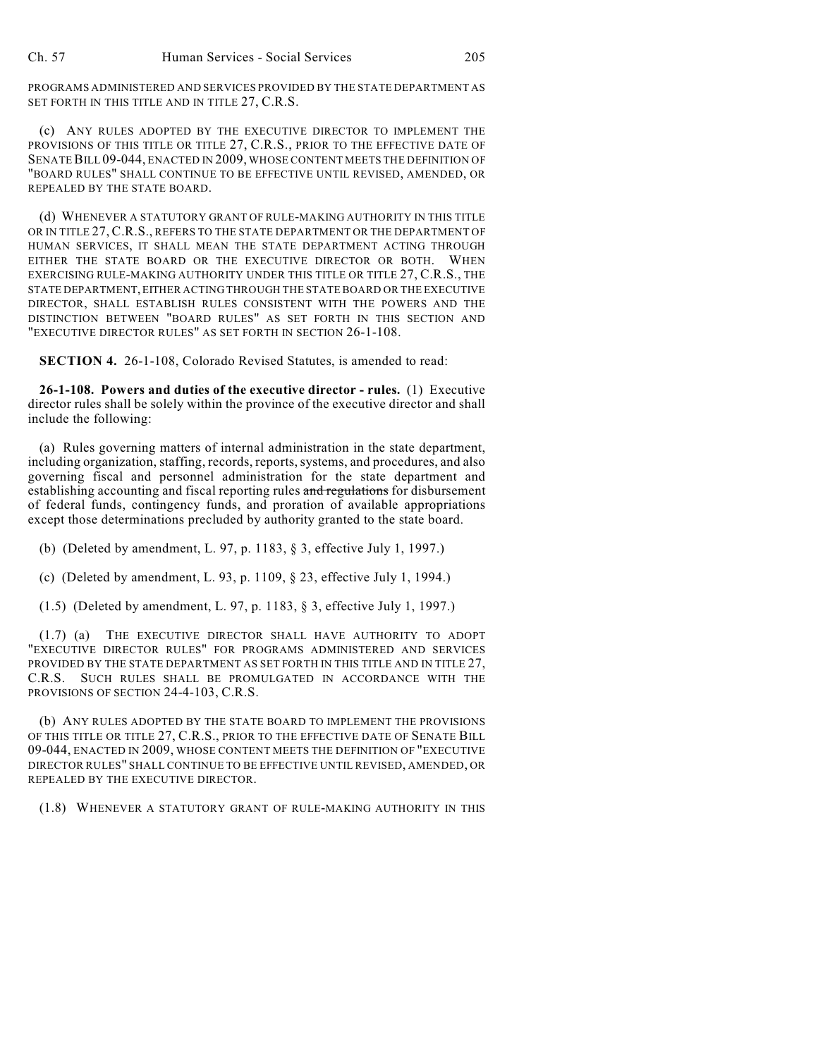PROGRAMS ADMINISTERED AND SERVICES PROVIDED BY THE STATE DEPARTMENT AS SET FORTH IN THIS TITLE AND IN TITLE 27, C.R.S.

(c) ANY RULES ADOPTED BY THE EXECUTIVE DIRECTOR TO IMPLEMENT THE PROVISIONS OF THIS TITLE OR TITLE 27, C.R.S., PRIOR TO THE EFFECTIVE DATE OF SENATE BILL 09-044, ENACTED IN 2009, WHOSE CONTENT MEETS THE DEFINITION OF "BOARD RULES" SHALL CONTINUE TO BE EFFECTIVE UNTIL REVISED, AMENDED, OR REPEALED BY THE STATE BOARD.

(d) WHENEVER A STATUTORY GRANT OF RULE-MAKING AUTHORITY IN THIS TITLE OR IN TITLE 27, C.R.S., REFERS TO THE STATE DEPARTMENT OR THE DEPARTMENT OF HUMAN SERVICES, IT SHALL MEAN THE STATE DEPARTMENT ACTING THROUGH EITHER THE STATE BOARD OR THE EXECUTIVE DIRECTOR OR BOTH. WHEN EXERCISING RULE-MAKING AUTHORITY UNDER THIS TITLE OR TITLE 27, C.R.S., THE STATE DEPARTMENT, EITHER ACTING THROUGH THE STATE BOARD OR THE EXECUTIVE DIRECTOR, SHALL ESTABLISH RULES CONSISTENT WITH THE POWERS AND THE DISTINCTION BETWEEN "BOARD RULES" AS SET FORTH IN THIS SECTION AND "EXECUTIVE DIRECTOR RULES" AS SET FORTH IN SECTION 26-1-108.

**SECTION 4.** 26-1-108, Colorado Revised Statutes, is amended to read:

**26-1-108. Powers and duties of the executive director - rules.** (1) Executive director rules shall be solely within the province of the executive director and shall include the following:

(a) Rules governing matters of internal administration in the state department, including organization, staffing, records, reports, systems, and procedures, and also governing fiscal and personnel administration for the state department and establishing accounting and fiscal reporting rules and regulations for disbursement of federal funds, contingency funds, and proration of available appropriations except those determinations precluded by authority granted to the state board.

(b) (Deleted by amendment, L. 97, p. 1183, § 3, effective July 1, 1997.)

(c) (Deleted by amendment, L. 93, p. 1109, § 23, effective July 1, 1994.)

(1.5) (Deleted by amendment, L. 97, p. 1183, § 3, effective July 1, 1997.)

(1.7) (a) THE EXECUTIVE DIRECTOR SHALL HAVE AUTHORITY TO ADOPT "EXECUTIVE DIRECTOR RULES" FOR PROGRAMS ADMINISTERED AND SERVICES PROVIDED BY THE STATE DEPARTMENT AS SET FORTH IN THIS TITLE AND IN TITLE 27, C.R.S. SUCH RULES SHALL BE PROMULGATED IN ACCORDANCE WITH THE PROVISIONS OF SECTION 24-4-103, C.R.S.

(b) ANY RULES ADOPTED BY THE STATE BOARD TO IMPLEMENT THE PROVISIONS OF THIS TITLE OR TITLE 27, C.R.S., PRIOR TO THE EFFECTIVE DATE OF SENATE BILL 09-044, ENACTED IN 2009, WHOSE CONTENT MEETS THE DEFINITION OF "EXECUTIVE DIRECTOR RULES" SHALL CONTINUE TO BE EFFECTIVE UNTIL REVISED, AMENDED, OR REPEALED BY THE EXECUTIVE DIRECTOR.

(1.8) WHENEVER A STATUTORY GRANT OF RULE-MAKING AUTHORITY IN THIS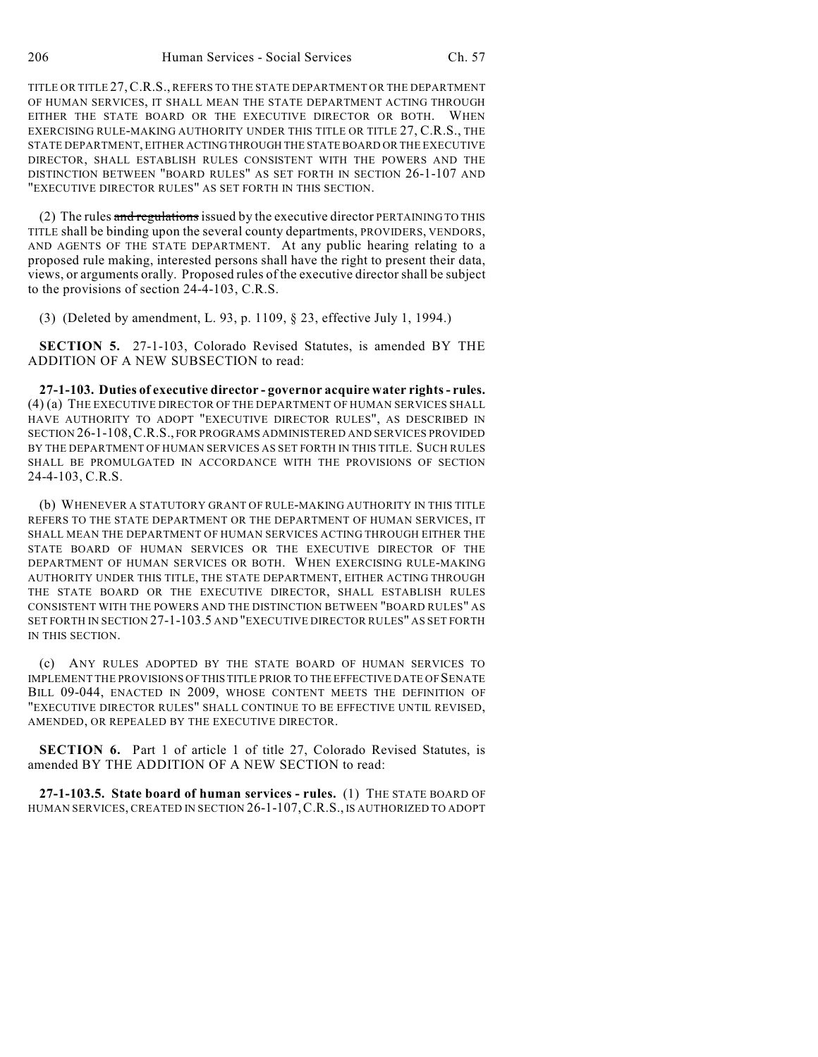TITLE OR TITLE 27,C.R.S., REFERS TO THE STATE DEPARTMENT OR THE DEPARTMENT OF HUMAN SERVICES, IT SHALL MEAN THE STATE DEPARTMENT ACTING THROUGH EITHER THE STATE BOARD OR THE EXECUTIVE DIRECTOR OR BOTH. WHEN EXERCISING RULE-MAKING AUTHORITY UNDER THIS TITLE OR TITLE 27, C.R.S., THE STATE DEPARTMENT, EITHER ACTING THROUGH THE STATE BOARD OR THE EXECUTIVE DIRECTOR, SHALL ESTABLISH RULES CONSISTENT WITH THE POWERS AND THE DISTINCTION BETWEEN "BOARD RULES" AS SET FORTH IN SECTION 26-1-107 AND "EXECUTIVE DIRECTOR RULES" AS SET FORTH IN THIS SECTION.

(2) The rules and regulations issued by the executive director PERTAINING TO THIS TITLE shall be binding upon the several county departments, PROVIDERS, VENDORS, AND AGENTS OF THE STATE DEPARTMENT. At any public hearing relating to a proposed rule making, interested persons shall have the right to present their data, views, or arguments orally. Proposed rules of the executive director shall be subject to the provisions of section 24-4-103, C.R.S.

(3) (Deleted by amendment, L. 93, p. 1109, § 23, effective July 1, 1994.)

**SECTION 5.** 27-1-103, Colorado Revised Statutes, is amended BY THE ADDITION OF A NEW SUBSECTION to read:

**27-1-103. Duties of executive director - governor acquire water rights - rules.** (4) (a) THE EXECUTIVE DIRECTOR OF THE DEPARTMENT OF HUMAN SERVICES SHALL HAVE AUTHORITY TO ADOPT "EXECUTIVE DIRECTOR RULES", AS DESCRIBED IN SECTION 26-1-108,C.R.S., FOR PROGRAMS ADMINISTERED AND SERVICES PROVIDED BY THE DEPARTMENT OF HUMAN SERVICES AS SET FORTH IN THIS TITLE. SUCH RULES SHALL BE PROMULGATED IN ACCORDANCE WITH THE PROVISIONS OF SECTION 24-4-103, C.R.S.

(b) WHENEVER A STATUTORY GRANT OF RULE-MAKING AUTHORITY IN THIS TITLE REFERS TO THE STATE DEPARTMENT OR THE DEPARTMENT OF HUMAN SERVICES, IT SHALL MEAN THE DEPARTMENT OF HUMAN SERVICES ACTING THROUGH EITHER THE STATE BOARD OF HUMAN SERVICES OR THE EXECUTIVE DIRECTOR OF THE DEPARTMENT OF HUMAN SERVICES OR BOTH. WHEN EXERCISING RULE-MAKING AUTHORITY UNDER THIS TITLE, THE STATE DEPARTMENT, EITHER ACTING THROUGH THE STATE BOARD OR THE EXECUTIVE DIRECTOR, SHALL ESTABLISH RULES CONSISTENT WITH THE POWERS AND THE DISTINCTION BETWEEN "BOARD RULES" AS SET FORTH IN SECTION 27-1-103.5 AND "EXECUTIVE DIRECTOR RULES" AS SET FORTH IN THIS SECTION.

(c) ANY RULES ADOPTED BY THE STATE BOARD OF HUMAN SERVICES TO IMPLEMENT THE PROVISIONS OF THIS TITLE PRIOR TO THE EFFECTIVE DATE OF SENATE BILL 09-044, ENACTED IN 2009, WHOSE CONTENT MEETS THE DEFINITION OF "EXECUTIVE DIRECTOR RULES" SHALL CONTINUE TO BE EFFECTIVE UNTIL REVISED, AMENDED, OR REPEALED BY THE EXECUTIVE DIRECTOR.

**SECTION 6.** Part 1 of article 1 of title 27, Colorado Revised Statutes, is amended BY THE ADDITION OF A NEW SECTION to read:

**27-1-103.5. State board of human services - rules.** (1) THE STATE BOARD OF HUMAN SERVICES, CREATED IN SECTION 26-1-107,C.R.S., IS AUTHORIZED TO ADOPT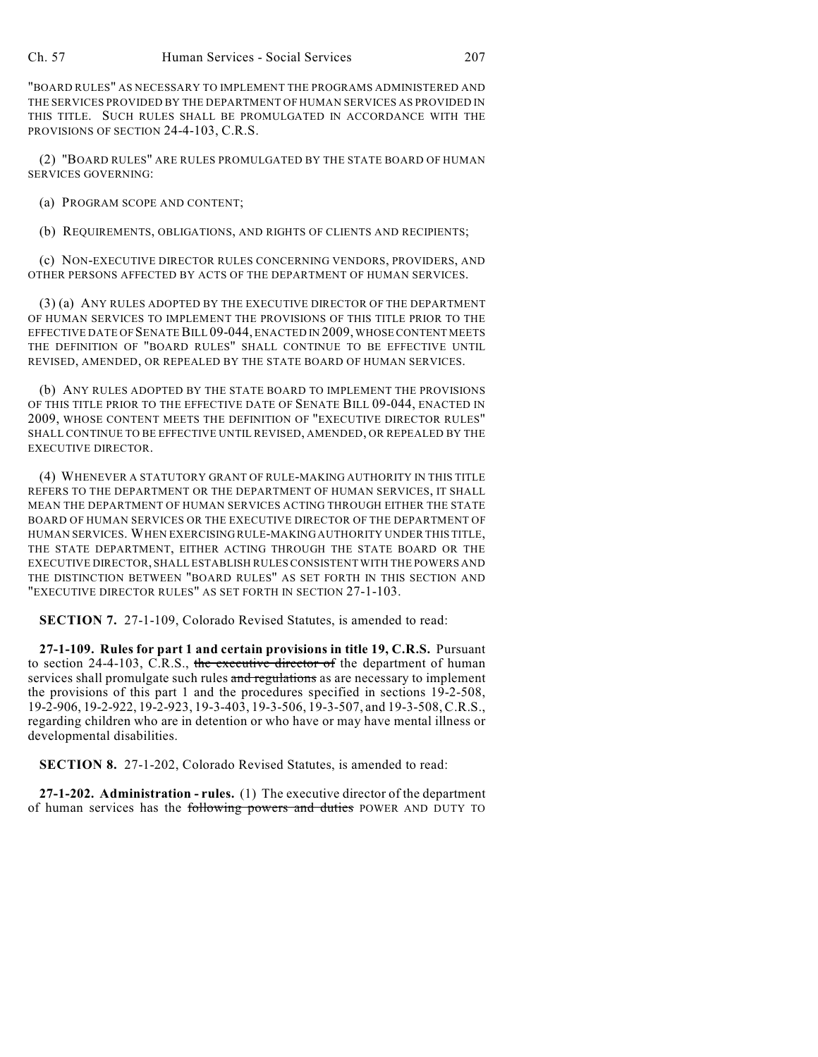"BOARD RULES" AS NECESSARY TO IMPLEMENT THE PROGRAMS ADMINISTERED AND THE SERVICES PROVIDED BY THE DEPARTMENT OF HUMAN SERVICES AS PROVIDED IN THIS TITLE. SUCH RULES SHALL BE PROMULGATED IN ACCORDANCE WITH THE PROVISIONS OF SECTION 24-4-103, C.R.S.

(2) "BOARD RULES" ARE RULES PROMULGATED BY THE STATE BOARD OF HUMAN SERVICES GOVERNING:

(a) PROGRAM SCOPE AND CONTENT;

(b) REQUIREMENTS, OBLIGATIONS, AND RIGHTS OF CLIENTS AND RECIPIENTS;

(c) NON-EXECUTIVE DIRECTOR RULES CONCERNING VENDORS, PROVIDERS, AND OTHER PERSONS AFFECTED BY ACTS OF THE DEPARTMENT OF HUMAN SERVICES.

(3) (a) ANY RULES ADOPTED BY THE EXECUTIVE DIRECTOR OF THE DEPARTMENT OF HUMAN SERVICES TO IMPLEMENT THE PROVISIONS OF THIS TITLE PRIOR TO THE EFFECTIVE DATE OF SENATE BILL 09-044, ENACTED IN 2009, WHOSE CONTENT MEETS THE DEFINITION OF "BOARD RULES" SHALL CONTINUE TO BE EFFECTIVE UNTIL REVISED, AMENDED, OR REPEALED BY THE STATE BOARD OF HUMAN SERVICES.

(b) ANY RULES ADOPTED BY THE STATE BOARD TO IMPLEMENT THE PROVISIONS OF THIS TITLE PRIOR TO THE EFFECTIVE DATE OF SENATE BILL 09-044, ENACTED IN 2009, WHOSE CONTENT MEETS THE DEFINITION OF "EXECUTIVE DIRECTOR RULES" SHALL CONTINUE TO BE EFFECTIVE UNTIL REVISED, AMENDED, OR REPEALED BY THE EXECUTIVE DIRECTOR.

(4) WHENEVER A STATUTORY GRANT OF RULE-MAKING AUTHORITY IN THIS TITLE REFERS TO THE DEPARTMENT OR THE DEPARTMENT OF HUMAN SERVICES, IT SHALL MEAN THE DEPARTMENT OF HUMAN SERVICES ACTING THROUGH EITHER THE STATE BOARD OF HUMAN SERVICES OR THE EXECUTIVE DIRECTOR OF THE DEPARTMENT OF HUMAN SERVICES. WHEN EXERCISING RULE-MAKING AUTHORITY UNDER THIS TITLE, THE STATE DEPARTMENT, EITHER ACTING THROUGH THE STATE BOARD OR THE EXECUTIVE DIRECTOR, SHALL ESTABLISH RULES CONSISTENT WITH THE POWERS AND THE DISTINCTION BETWEEN "BOARD RULES" AS SET FORTH IN THIS SECTION AND "EXECUTIVE DIRECTOR RULES" AS SET FORTH IN SECTION 27-1-103.

**SECTION 7.** 27-1-109, Colorado Revised Statutes, is amended to read:

**27-1-109. Rules for part 1 and certain provisions in title 19, C.R.S.** Pursuant to section 24-4-103, C.R.S., the executive director of the department of human services shall promulgate such rules and regulations as are necessary to implement the provisions of this part 1 and the procedures specified in sections 19-2-508, 19-2-906, 19-2-922, 19-2-923, 19-3-403, 19-3-506, 19-3-507, and 19-3-508, C.R.S., regarding children who are in detention or who have or may have mental illness or developmental disabilities.

**SECTION 8.** 27-1-202, Colorado Revised Statutes, is amended to read:

**27-1-202. Administration - rules.** (1) The executive director of the department of human services has the following powers and duties POWER AND DUTY TO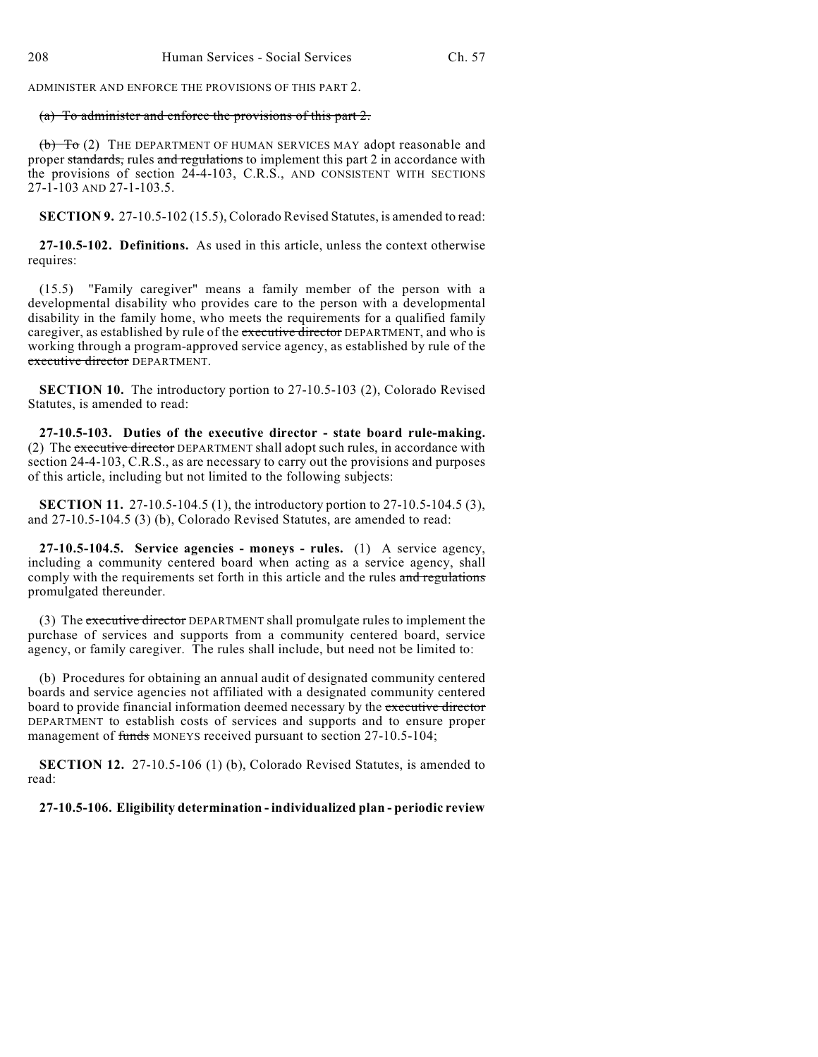ADMINISTER AND ENFORCE THE PROVISIONS OF THIS PART 2.

## (a) To administer and enforce the provisions of this part 2.

(b) To (2) THE DEPARTMENT OF HUMAN SERVICES MAY adopt reasonable and proper standards, rules and regulations to implement this part 2 in accordance with the provisions of section 24-4-103, C.R.S., AND CONSISTENT WITH SECTIONS 27-1-103 AND 27-1-103.5.

**SECTION 9.** 27-10.5-102 (15.5), Colorado Revised Statutes, is amended to read:

**27-10.5-102. Definitions.** As used in this article, unless the context otherwise requires:

(15.5) "Family caregiver" means a family member of the person with a developmental disability who provides care to the person with a developmental disability in the family home, who meets the requirements for a qualified family caregiver, as established by rule of the executive director DEPARTMENT, and who is working through a program-approved service agency, as established by rule of the executive director DEPARTMENT.

**SECTION 10.** The introductory portion to 27-10.5-103 (2), Colorado Revised Statutes, is amended to read:

**27-10.5-103. Duties of the executive director - state board rule-making.** (2) The executive director DEPARTMENT shall adopt such rules, in accordance with section 24-4-103, C.R.S., as are necessary to carry out the provisions and purposes of this article, including but not limited to the following subjects:

**SECTION 11.** 27-10.5-104.5 (1), the introductory portion to 27-10.5-104.5 (3), and 27-10.5-104.5 (3) (b), Colorado Revised Statutes, are amended to read:

**27-10.5-104.5. Service agencies - moneys - rules.** (1) A service agency, including a community centered board when acting as a service agency, shall comply with the requirements set forth in this article and the rules and regulations promulgated thereunder.

(3) The executive director DEPARTMENT shall promulgate rules to implement the purchase of services and supports from a community centered board, service agency, or family caregiver. The rules shall include, but need not be limited to:

(b) Procedures for obtaining an annual audit of designated community centered boards and service agencies not affiliated with a designated community centered board to provide financial information deemed necessary by the executive director DEPARTMENT to establish costs of services and supports and to ensure proper management of funds MONEYS received pursuant to section 27-10.5-104;

**SECTION 12.** 27-10.5-106 (1) (b), Colorado Revised Statutes, is amended to read:

**27-10.5-106. Eligibility determination - individualized plan - periodic review**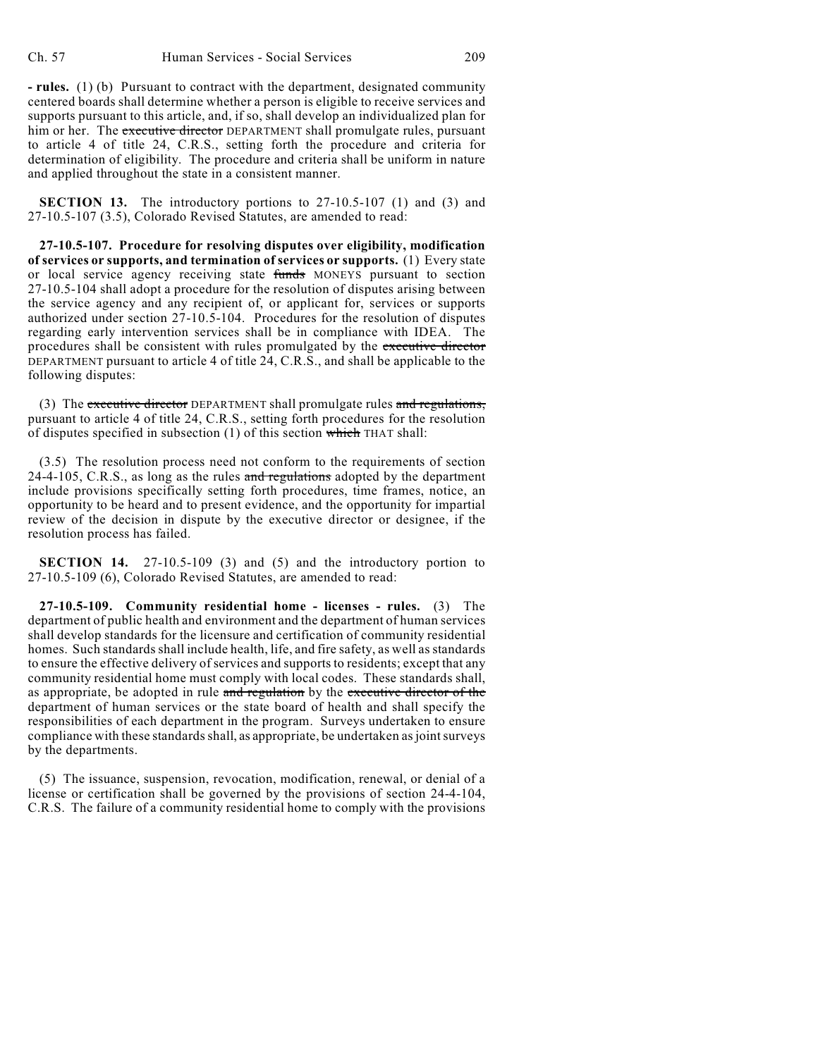**- rules.** (1) (b) Pursuant to contract with the department, designated community centered boards shall determine whether a person is eligible to receive services and supports pursuant to this article, and, if so, shall develop an individualized plan for him or her. The executive director DEPARTMENT shall promulgate rules, pursuant to article 4 of title 24, C.R.S., setting forth the procedure and criteria for determination of eligibility. The procedure and criteria shall be uniform in nature and applied throughout the state in a consistent manner.

**SECTION 13.** The introductory portions to 27-10.5-107 (1) and (3) and 27-10.5-107 (3.5), Colorado Revised Statutes, are amended to read:

**27-10.5-107. Procedure for resolving disputes over eligibility, modification of services or supports, and termination of services or supports.** (1) Every state or local service agency receiving state funds MONEYS pursuant to section 27-10.5-104 shall adopt a procedure for the resolution of disputes arising between the service agency and any recipient of, or applicant for, services or supports authorized under section 27-10.5-104. Procedures for the resolution of disputes regarding early intervention services shall be in compliance with IDEA. The procedures shall be consistent with rules promulgated by the executive director DEPARTMENT pursuant to article 4 of title 24, C.R.S., and shall be applicable to the following disputes:

(3) The executive director DEPARTMENT shall promulgate rules and regulations, pursuant to article 4 of title 24, C.R.S., setting forth procedures for the resolution of disputes specified in subsection (1) of this section which THAT shall:

(3.5) The resolution process need not conform to the requirements of section  $24-4-105$ , C.R.S., as long as the rules and regulations adopted by the department include provisions specifically setting forth procedures, time frames, notice, an opportunity to be heard and to present evidence, and the opportunity for impartial review of the decision in dispute by the executive director or designee, if the resolution process has failed.

**SECTION 14.** 27-10.5-109 (3) and (5) and the introductory portion to 27-10.5-109 (6), Colorado Revised Statutes, are amended to read:

**27-10.5-109. Community residential home - licenses - rules.** (3) The department of public health and environment and the department of human services shall develop standards for the licensure and certification of community residential homes. Such standards shall include health, life, and fire safety, as well as standards to ensure the effective delivery of services and supports to residents; except that any community residential home must comply with local codes. These standards shall, as appropriate, be adopted in rule and regulation by the executive director of the department of human services or the state board of health and shall specify the responsibilities of each department in the program. Surveys undertaken to ensure compliance with these standards shall, as appropriate, be undertaken as joint surveys by the departments.

(5) The issuance, suspension, revocation, modification, renewal, or denial of a license or certification shall be governed by the provisions of section 24-4-104, C.R.S. The failure of a community residential home to comply with the provisions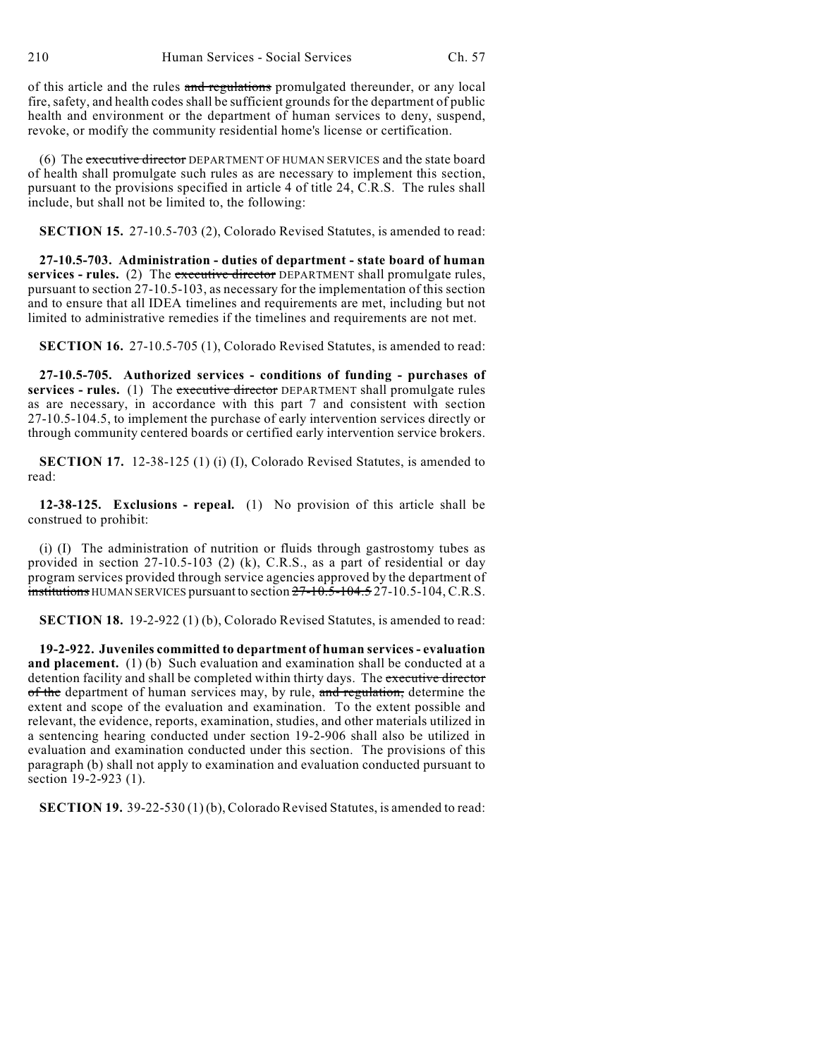of this article and the rules and regulations promulgated thereunder, or any local fire, safety, and health codes shall be sufficient grounds for the department of public health and environment or the department of human services to deny, suspend, revoke, or modify the community residential home's license or certification.

(6) The executive director DEPARTMENT OF HUMAN SERVICES and the state board of health shall promulgate such rules as are necessary to implement this section, pursuant to the provisions specified in article 4 of title 24, C.R.S. The rules shall include, but shall not be limited to, the following:

**SECTION 15.** 27-10.5-703 (2), Colorado Revised Statutes, is amended to read:

**27-10.5-703. Administration - duties of department - state board of human services - rules.** (2) The executive director DEPARTMENT shall promulgate rules, pursuant to section 27-10.5-103, as necessary for the implementation of this section and to ensure that all IDEA timelines and requirements are met, including but not limited to administrative remedies if the timelines and requirements are not met.

**SECTION 16.** 27-10.5-705 (1), Colorado Revised Statutes, is amended to read:

**27-10.5-705. Authorized services - conditions of funding - purchases of services - rules.** (1) The executive director DEPARTMENT shall promulgate rules as are necessary, in accordance with this part 7 and consistent with section 27-10.5-104.5, to implement the purchase of early intervention services directly or through community centered boards or certified early intervention service brokers.

**SECTION 17.** 12-38-125 (1) (i) (I), Colorado Revised Statutes, is amended to read:

**12-38-125. Exclusions - repeal.** (1) No provision of this article shall be construed to prohibit:

(i) (I) The administration of nutrition or fluids through gastrostomy tubes as provided in section 27-10.5-103 (2) (k), C.R.S., as a part of residential or day program services provided through service agencies approved by the department of institutions HUMAN SERVICES pursuant to section  $27-10.5-104.5$  27-10.5-104, C.R.S.

**SECTION 18.** 19-2-922 (1) (b), Colorado Revised Statutes, is amended to read:

**19-2-922. Juveniles committed to department of human services - evaluation and placement.** (1) (b) Such evaluation and examination shall be conducted at a detention facility and shall be completed within thirty days. The executive director of the department of human services may, by rule, and regulation, determine the extent and scope of the evaluation and examination. To the extent possible and relevant, the evidence, reports, examination, studies, and other materials utilized in a sentencing hearing conducted under section 19-2-906 shall also be utilized in evaluation and examination conducted under this section. The provisions of this paragraph (b) shall not apply to examination and evaluation conducted pursuant to section 19-2-923 (1).

**SECTION 19.** 39-22-530 (1) (b), Colorado Revised Statutes, is amended to read: